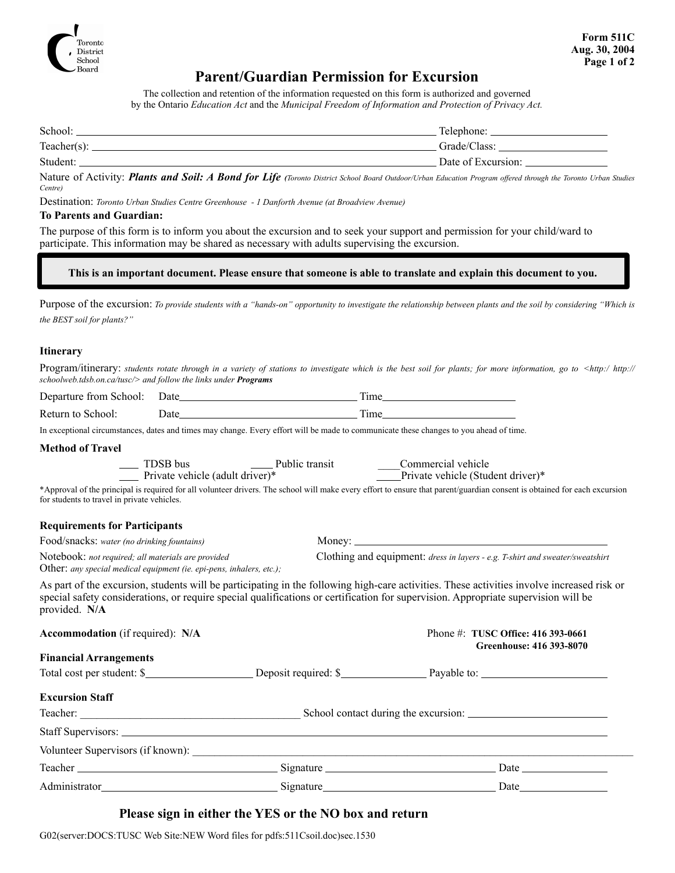

## **Parent/Guardian Permission for Excursion**

The collection and retention of the information requested on this form is authorized and governed by the Ontario *Education Act* and the *Municipal Freedom of Information and Protection of Privacy Act.* 

| School:         | Telephone:         |
|-----------------|--------------------|
| Teacher( $s$ ): | Grade/Class:       |
| Student:        | Date of Excursion: |

Nature of Activity: *Plants and Soil: A Bond for Life (Toronto District School Board Outdoor/Urban Education Program offered through the Toronto Urban Studies Centre)* 

Destination: *Toronto Urban Studies Centre Greenhouse - 1 Danforth Avenue (at Broadview Avenue)*

#### **To Parents and Guardian:**

The purpose of this form is to inform you about the excursion and to seek your support and permission for your child/ward to participate. This information may be shared as necessary with adults supervising the excursion.

#### **This is an important document. Please ensure that someone is able to translate and explain this document to you.**

Purpose of the excursion: *To provide students with a "hands-on" opportunity to investigate the relationship between plants and the soil by considering "Which is the BEST soil for plants?"*

#### **Itinerary**

Program/itinerary: *students rotate through in a variety of stations to investigate which is the best soil for plants; for more information, go to <http:/ http:// schoolweb.tdsb.on.ca/tusc/> and follow the links under Programs*

| Departure from School: Date_ |                                                                                                                                                                                                                                | Time |
|------------------------------|--------------------------------------------------------------------------------------------------------------------------------------------------------------------------------------------------------------------------------|------|
| Return to School:            | )ate                                                                                                                                                                                                                           | Fime |
|                              | The considered characteristic distributions of the control Forms officially to include the state of the control of control of the control of the control of the control of the control of the control of the control of the co |      |

In exceptional circumstances, dates and times may change. Every effort will be made to communicate these changes to you ahead of time.

#### **Method of Travel**

| TDSB bus                        | Public transit | Commercial vehicle                |
|---------------------------------|----------------|-----------------------------------|
| Private vehicle (adult driver)* |                | Private vehicle (Student driver)* |

\*Approval of the principal is required for all volunteer drivers. The school will make every effort to ensure that parent/guardian consent is obtained for each excursion for students to travel in private vehicles.

Money:

#### **Requirements for Participants**

| Food/snacks: water (no drinking fountains) |  |
|--------------------------------------------|--|
|--------------------------------------------|--|

Notebook: *not required; all materials are provided* Clothing and equipment: *dress in layers - e.g. T-shirt and sweater/sweatshirt* 

Other: *any special medical equipment (ie. epi-pens, inhalers, etc.);* 

As part of the excursion, students will be participating in the following high-care activities. These activities involve increased risk or special safety considerations, or require special qualifications or certification for supervision. Appropriate supervision will be provided. **N/A**

| <b>Accommodation</b> (if required): N/A |  | Phone #: TUSC Office: 416 393-0661<br>Greenhouse: 416 393-8070 |
|-----------------------------------------|--|----------------------------------------------------------------|
| <b>Financial Arrangements</b>           |  |                                                                |
|                                         |  | Total cost per student: \$                                     |
| <b>Excursion Staff</b>                  |  |                                                                |
|                                         |  |                                                                |
|                                         |  |                                                                |
|                                         |  |                                                                |
|                                         |  |                                                                |
|                                         |  |                                                                |

### **Please sign in either the YES or the NO box and return**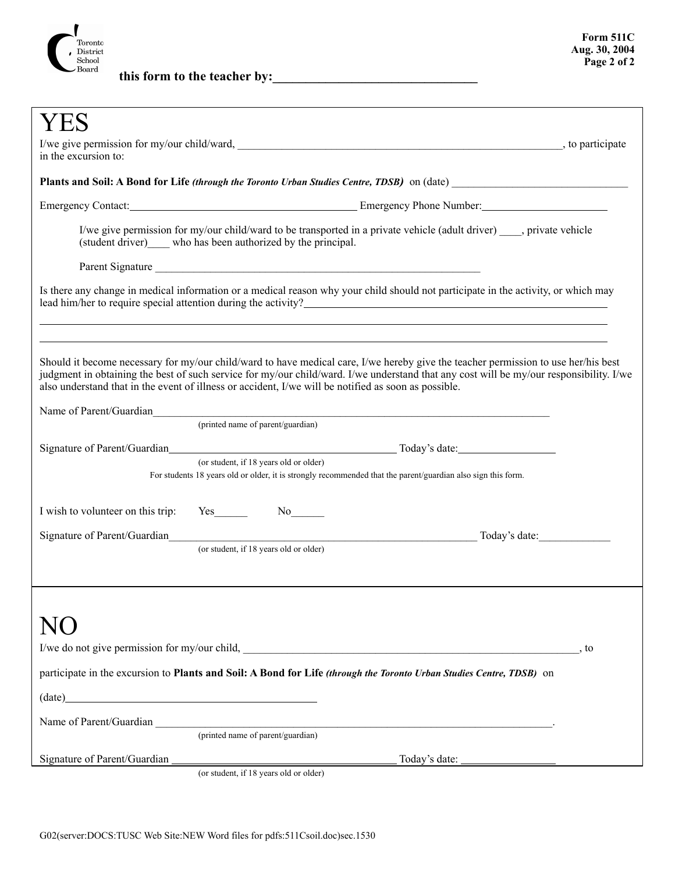

**this form to the teacher by:\_\_\_\_\_\_\_\_\_\_\_\_\_\_\_\_\_\_\_\_\_\_\_\_\_\_\_\_\_\_\_**

| in the excursion to:                                                                                                                                                                                                                                                                                                                                                                                                                                                                                                                                                                                                                                         |  |  |  |
|--------------------------------------------------------------------------------------------------------------------------------------------------------------------------------------------------------------------------------------------------------------------------------------------------------------------------------------------------------------------------------------------------------------------------------------------------------------------------------------------------------------------------------------------------------------------------------------------------------------------------------------------------------------|--|--|--|
| Plants and Soil: A Bond for Life (through the Toronto Urban Studies Centre, TDSB) on (date)                                                                                                                                                                                                                                                                                                                                                                                                                                                                                                                                                                  |  |  |  |
| Emergency Contact: <u>Contact:</u> Emergency Phone Number: Contact:                                                                                                                                                                                                                                                                                                                                                                                                                                                                                                                                                                                          |  |  |  |
| I/we give permission for my/our child/ward to be transported in a private vehicle (adult driver) , private vehicle<br>(student driver) who has been authorized by the principal.                                                                                                                                                                                                                                                                                                                                                                                                                                                                             |  |  |  |
|                                                                                                                                                                                                                                                                                                                                                                                                                                                                                                                                                                                                                                                              |  |  |  |
| Is there any change in medical information or a medical reason why your child should not participate in the activity, or which may                                                                                                                                                                                                                                                                                                                                                                                                                                                                                                                           |  |  |  |
| Should it become necessary for my/our child/ward to have medical care, I/we hereby give the teacher permission to use her/his best<br>judgment in obtaining the best of such service for my/our child/ward. I/we understand that any cost will be my/our responsibility. I/we<br>also understand that in the event of illness or accident, I/we will be notified as soon as possible.<br>Name of Parent/Guardian expansion of the contract of the contract of the contract of the contract of the contract of the contract of the contract of the contract of the contract of the contract of the contract of the contr<br>(printed name of parent/guardian) |  |  |  |
|                                                                                                                                                                                                                                                                                                                                                                                                                                                                                                                                                                                                                                                              |  |  |  |
| (or student, if 18 years old or older)<br>For students 18 years old or older, it is strongly recommended that the parent/guardian also sign this form.                                                                                                                                                                                                                                                                                                                                                                                                                                                                                                       |  |  |  |
| I wish to volunteer on this trip: Yes                                                                                                                                                                                                                                                                                                                                                                                                                                                                                                                                                                                                                        |  |  |  |
|                                                                                                                                                                                                                                                                                                                                                                                                                                                                                                                                                                                                                                                              |  |  |  |
| (or student, if 18 years old or older)                                                                                                                                                                                                                                                                                                                                                                                                                                                                                                                                                                                                                       |  |  |  |
|                                                                                                                                                                                                                                                                                                                                                                                                                                                                                                                                                                                                                                                              |  |  |  |
|                                                                                                                                                                                                                                                                                                                                                                                                                                                                                                                                                                                                                                                              |  |  |  |
| $\cdot$ to                                                                                                                                                                                                                                                                                                                                                                                                                                                                                                                                                                                                                                                   |  |  |  |
| participate in the excursion to Plants and Soil: A Bond for Life (through the Toronto Urban Studies Centre, TDSB) on                                                                                                                                                                                                                                                                                                                                                                                                                                                                                                                                         |  |  |  |
| $\qquad \qquad (date) \qquad \qquad \qquad 1.$                                                                                                                                                                                                                                                                                                                                                                                                                                                                                                                                                                                                               |  |  |  |
|                                                                                                                                                                                                                                                                                                                                                                                                                                                                                                                                                                                                                                                              |  |  |  |
| (printed name of parent/guardian)                                                                                                                                                                                                                                                                                                                                                                                                                                                                                                                                                                                                                            |  |  |  |
| Today's date: _                                                                                                                                                                                                                                                                                                                                                                                                                                                                                                                                                                                                                                              |  |  |  |

(or student, if 18 years old or older)